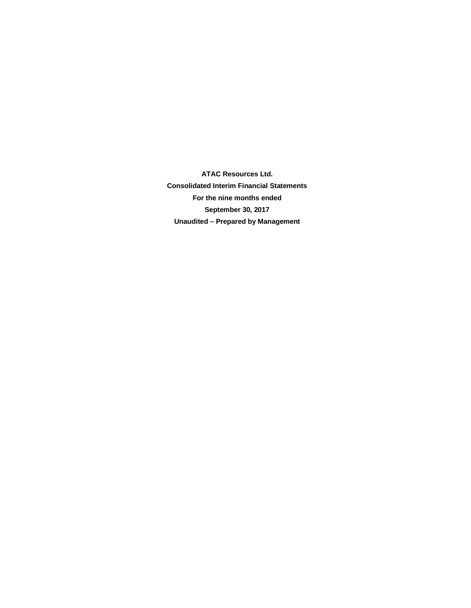**ATAC Resources Ltd. Consolidated Interim Financial Statements For the nine months ended September 30, 2017 Unaudited – Prepared by Management**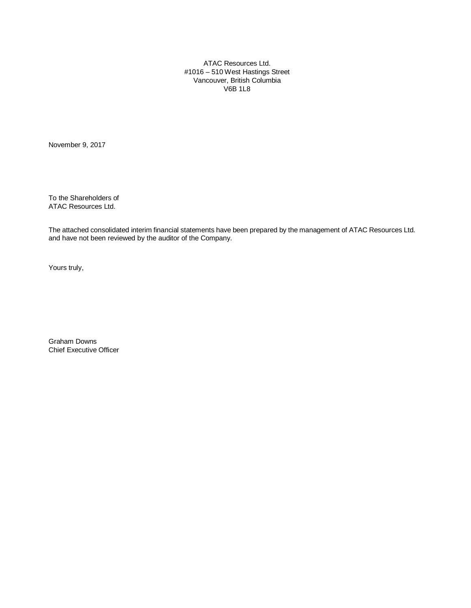ATAC Resources Ltd. #1016 – 510 West Hastings Street Vancouver, British Columbia V6B 1L8

November 9, 2017

To the Shareholders of ATAC Resources Ltd.

The attached consolidated interim financial statements have been prepared by the management of ATAC Resources Ltd. and have not been reviewed by the auditor of the Company.

Yours truly,

Graham Downs Chief Executive Officer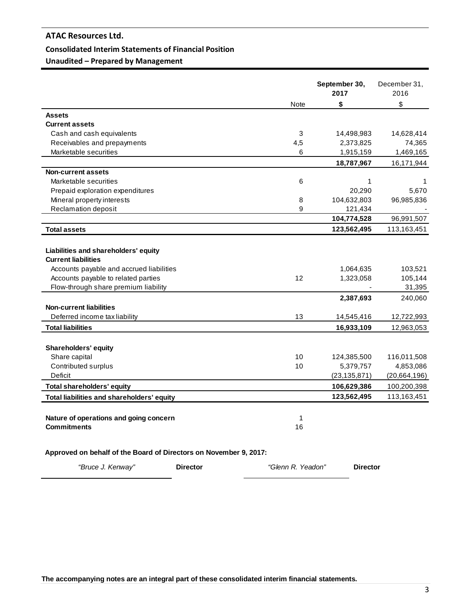# **Consolidated Interim Statements of Financial Position**

**Unaudited – Prepared by Management**

|                                                                   |      | September 30,<br>2017 | December 31,<br>2016 |
|-------------------------------------------------------------------|------|-----------------------|----------------------|
|                                                                   | Note | \$                    | \$                   |
| <b>Assets</b>                                                     |      |                       |                      |
| <b>Current assets</b>                                             |      |                       |                      |
| Cash and cash equivalents                                         | 3    | 14,498,983            | 14,628,414           |
| Receivables and prepayments                                       | 4,5  | 2,373,825             | 74,365               |
| Marketable securities                                             | 6    | 1,915,159             | 1,469,165            |
|                                                                   |      | 18,787,967            | 16,171,944           |
| <b>Non-current assets</b>                                         |      |                       |                      |
| Marketable securities                                             | 6    | 1                     | 1                    |
| Prepaid exploration expenditures                                  |      | 20,290                | 5,670                |
| Mineral property interests                                        | 8    | 104,632,803           | 96,985,836           |
| <b>Reclamation deposit</b>                                        | 9    | 121,434               |                      |
|                                                                   |      | 104,774,528           | 96,991,507           |
| <b>Total assets</b>                                               |      | 123,562,495           | 113,163,451          |
|                                                                   |      |                       |                      |
| Liabilities and shareholders' equity                              |      |                       |                      |
| <b>Current liabilities</b>                                        |      |                       |                      |
| Accounts payable and accrued liabilities                          |      | 1,064,635             | 103,521              |
| Accounts payable to related parties                               | 12   | 1,323,058             | 105,144              |
| Flow-through share premium liability                              |      |                       | 31,395               |
|                                                                   |      | 2,387,693             | 240,060              |
| <b>Non-current liabilities</b>                                    |      |                       |                      |
| Deferred income tax liability                                     | 13   | 14,545,416            | 12,722,993           |
| <b>Total liabilities</b>                                          |      | 16,933,109            | 12,963,053           |
|                                                                   |      |                       |                      |
| <b>Shareholders' equity</b>                                       |      |                       |                      |
| Share capital                                                     | 10   | 124,385,500           | 116,011,508          |
| Contributed surplus                                               | 10   | 5,379,757             | 4,853,086            |
| <b>Deficit</b>                                                    |      | (23, 135, 871)        | (20, 664, 196)       |
| <b>Total shareholders' equity</b>                                 |      | 106,629,386           | 100,200,398          |
| Total liabilities and shareholders' equity                        |      | 123,562,495           | 113,163,451          |
|                                                                   |      |                       |                      |
| Nature of operations and going concern                            | 1    |                       |                      |
| <b>Commitments</b>                                                | 16   |                       |                      |
|                                                                   |      |                       |                      |
|                                                                   |      |                       |                      |
| Approved on behalf of the Board of Directors on November 9, 2017: |      |                       |                      |

*"Bruce J. Kenway"* **Director** *"Glenn R. Yeadon"* **Director**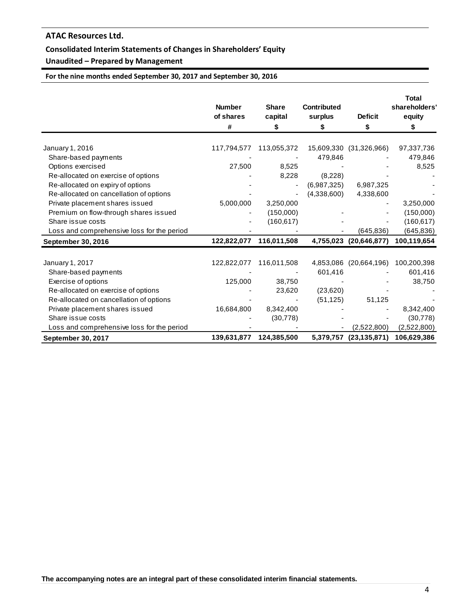# **Consolidated Interim Statements of Changes in Shareholders' Equity**

# **Unaudited – Prepared by Management**

**For the nine months ended September 30, 2017 and September 30, 2016**

|                                            | <b>Number</b><br>of shares<br># | <b>Share</b><br>capital<br>\$ | <b>Contributed</b><br>surplus<br>S | <b>Deficit</b><br>\$    | <b>Total</b><br>shareholders'<br>equity<br>\$ |
|--------------------------------------------|---------------------------------|-------------------------------|------------------------------------|-------------------------|-----------------------------------------------|
| January 1, 2016                            | 117,794,577                     | 113,055,372                   |                                    | 15,609,330 (31,326,966) | 97,337,736                                    |
| Share-based payments                       |                                 |                               | 479,846                            |                         | 479,846                                       |
| Options exercised                          | 27,500                          | 8,525                         |                                    |                         | 8,525                                         |
| Re-allocated on exercise of options        |                                 | 8,228                         | (8,228)                            |                         |                                               |
| Re-allocated on expiry of options          |                                 |                               | (6,987,325)                        | 6,987,325               |                                               |
| Re-allocated on cancellation of options    |                                 |                               | (4,338,600)                        | 4,338,600               |                                               |
| Private placement shares issued            | 5,000,000                       | 3,250,000                     |                                    |                         | 3,250,000                                     |
| Premium on flow-through shares issued      |                                 | (150,000)                     |                                    |                         | (150,000)                                     |
| Share issue costs                          |                                 | (160, 617)                    |                                    |                         | (160, 617)                                    |
| Loss and comprehensive loss for the period |                                 |                               |                                    | (645,836)               | (645, 836)                                    |
| September 30, 2016                         | 122,822,077                     | 116,011,508                   |                                    | 4,755,023 (20,646,877)  | 100,119,654                                   |
| January 1, 2017                            | 122,822,077                     | 116,011,508                   |                                    | 4,853,086 (20,664,196)  | 100,200,398                                   |
| Share-based payments                       |                                 |                               | 601,416                            |                         | 601,416                                       |
| Exercise of options                        | 125,000                         | 38,750                        |                                    |                         | 38,750                                        |
| Re-allocated on exercise of options        |                                 | 23,620                        | (23,620)                           |                         |                                               |
| Re-allocated on cancellation of options    |                                 |                               | (51, 125)                          | 51,125                  |                                               |
| Private placement shares issued            | 16,684,800                      | 8,342,400                     |                                    |                         | 8,342,400                                     |
| Share issue costs                          |                                 | (30, 778)                     |                                    |                         | (30, 778)                                     |
| Loss and comprehensive loss for the period |                                 |                               |                                    | (2,522,800)             | (2,522,800)                                   |
| <b>September 30, 2017</b>                  | 139,631,877                     | 124,385,500                   |                                    | 5,379,757 (23,135,871)  | 106,629,386                                   |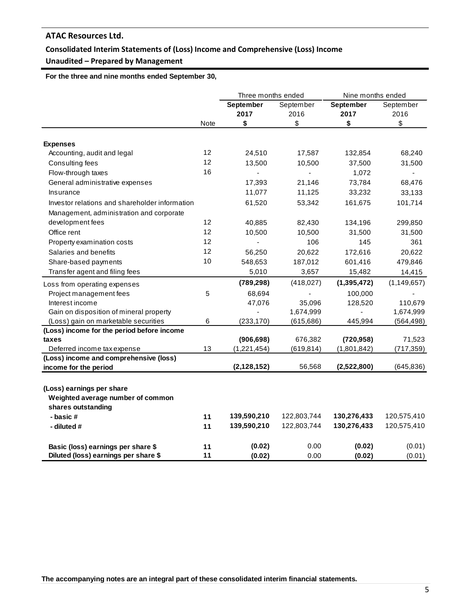# **Consolidated Interim Statements of (Loss) Income and Comprehensive (Loss) Income**

# **Unaudited – Prepared by Management**

 **For the three and nine months ended September 30,** 

|                                                                                      |          | Three months ended       |                   | Nine months ended |                   |  |
|--------------------------------------------------------------------------------------|----------|--------------------------|-------------------|-------------------|-------------------|--|
|                                                                                      |          | September<br>2017        | September<br>2016 | September<br>2017 | September<br>2016 |  |
|                                                                                      | Note     | \$                       | \$                | \$                | \$                |  |
|                                                                                      |          |                          |                   |                   |                   |  |
| <b>Expenses</b>                                                                      |          |                          |                   |                   |                   |  |
| Accounting, audit and legal                                                          | 12<br>12 | 24,510                   | 17,587            | 132,854           | 68,240            |  |
| Consulting fees                                                                      | 16       | 13,500                   | 10,500            | 37,500            | 31,500            |  |
| Flow-through taxes                                                                   |          | $\overline{\phantom{a}}$ | $\blacksquare$    | 1,072             | ٠                 |  |
| General administrative expenses                                                      |          | 17,393                   | 21,146            | 73,784            | 68,476            |  |
| Insurance                                                                            |          | 11,077                   | 11,125            | 33,232            | 33,133            |  |
| Investor relations and shareholder information                                       |          | 61,520                   | 53,342            | 161,675           | 101,714           |  |
| Management, administration and corporate                                             |          |                          |                   |                   |                   |  |
| development fees                                                                     | 12       | 40,885                   | 82,430            | 134,196           | 299,850           |  |
| Office rent                                                                          | 12       | 10,500                   | 10,500            | 31,500            | 31,500            |  |
| Property examination costs                                                           | 12       | $\overline{a}$           | 106               | 145               | 361               |  |
| Salaries and benefits                                                                | 12       | 56,250                   | 20,622            | 172,616           | 20,622            |  |
| Share-based payments                                                                 | 10       | 548,653                  | 187,012           | 601,416           | 479,846           |  |
| Transfer agent and filing fees                                                       |          | 5,010                    | 3,657             | 15,482            | 14,415            |  |
| Loss from operating expenses                                                         |          | (789, 298)               | (418, 027)        | (1, 395, 472)     | (1, 149, 657)     |  |
| Project management fees                                                              | 5        | 68,694                   |                   | 100,000           |                   |  |
| Interest income                                                                      |          | 47,076                   | 35,096            | 128,520           | 110,679           |  |
| Gain on disposition of mineral property                                              |          |                          | 1,674,999         |                   | 1,674,999         |  |
| (Loss) gain on marketable securities                                                 | 6        | (233, 170)               | (615, 686)        | 445,994           | (564, 498)        |  |
| (Loss) income for the period before income                                           |          |                          |                   |                   |                   |  |
| taxes                                                                                |          | (906, 698)               | 676,382           | (720, 958)        | 71,523            |  |
| Deferred income tax expense                                                          | 13       | (1,221,454)              | (619, 814)        | (1,801,842)       | (717, 359)        |  |
| (Loss) income and comprehensive (loss)                                               |          |                          |                   |                   |                   |  |
| income for the period                                                                |          | (2, 128, 152)            | 56,568            | (2,522,800)       | (645, 836)        |  |
| (Loss) earnings per share<br>Weighted average number of common<br>shares outstanding |          |                          |                   |                   |                   |  |
| - basic#                                                                             | 11       | 139,590,210              | 122,803,744       | 130,276,433       | 120,575,410       |  |
| - diluted #                                                                          | 11       | 139,590,210              | 122,803,744       | 130,276,433       | 120,575,410       |  |
| Basic (loss) earnings per share \$                                                   | 11       | (0.02)                   | 0.00              | (0.02)            | (0.01)            |  |
| Diluted (loss) earnings per share \$                                                 | 11       | (0.02)                   | 0.00              | (0.02)            | (0.01)            |  |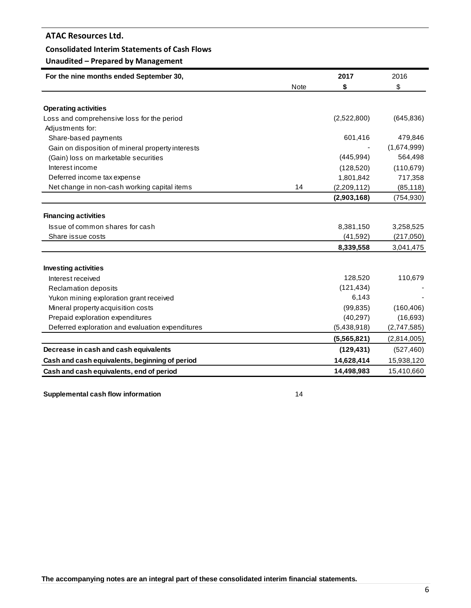# **Consolidated Interim Statements of Cash Flows**

# **Unaudited – Prepared by Management**

| For the nine months ended September 30,           |             | 2017        | 2016        |
|---------------------------------------------------|-------------|-------------|-------------|
|                                                   | <b>Note</b> | \$          | \$          |
|                                                   |             |             |             |
| <b>Operating activities</b>                       |             |             |             |
| Loss and comprehensive loss for the period        |             | (2,522,800) | (645, 836)  |
| Adjustments for:                                  |             |             |             |
| Share-based payments                              |             | 601,416     | 479,846     |
| Gain on disposition of mineral property interests |             |             | (1,674,999) |
| (Gain) loss on marketable securities              |             | (445, 994)  | 564,498     |
| Interest income                                   |             | (128, 520)  | (110, 679)  |
| Deferred income tax expense                       |             | 1,801,842   | 717,358     |
| Net change in non-cash working capital items      | 14          | (2,209,112) | (85, 118)   |
|                                                   |             | (2,903,168) | (754, 930)  |
| <b>Financing activities</b>                       |             |             |             |
| Issue of common shares for cash                   |             | 8,381,150   | 3,258,525   |
| Share issue costs                                 |             | (41, 592)   | (217,050)   |
|                                                   |             | 8,339,558   | 3,041,475   |
| <b>Investing activities</b>                       |             |             |             |
| Interest received                                 |             | 128,520     | 110,679     |
| <b>Reclamation deposits</b>                       |             | (121, 434)  |             |
| Yukon mining exploration grant received           |             | 6,143       |             |
| Mineral property acquisition costs                |             | (99, 835)   | (160, 406)  |
| Prepaid exploration expenditures                  |             | (40, 297)   | (16, 693)   |
| Deferred exploration and evaluation expenditures  |             | (5,438,918) | (2,747,585) |
|                                                   |             | (5,565,821) | (2,814,005) |
| Decrease in cash and cash equivalents             |             | (129, 431)  | (527, 460)  |
| Cash and cash equivalents, beginning of period    |             | 14,628,414  | 15,938,120  |
| Cash and cash equivalents, end of period          |             | 14,498,983  | 15,410,660  |

**Supplemental cash flow information** 14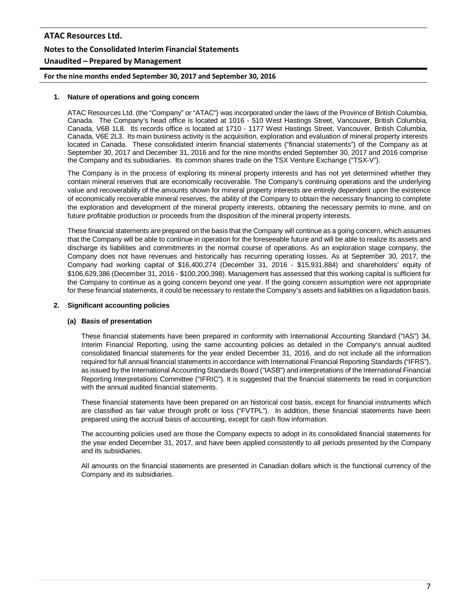# **ATAC Resources Ltd. Notes to the Consolidated Interim Financial Statements Unaudited – Prepared by Management**

**For the nine months ended September 30, 2017 and September 30, 2016**

## **1. Nature of operations and going concern**

ATAC Resources Ltd. (the "Company" or "ATAC") was incorporated under the laws of the Province of British Columbia, Canada. The Company's head office is located at 1016 - 510 West Hastings Street, Vancouver, British Columbia, Canada, V6B 1L8. Its records office is located at 1710 - 1177 West Hastings Street, Vancouver, British Columbia, Canada, V6E 2L3. Its main business activity is the acquisition, exploration and evaluation of mineral property interests located in Canada. These consolidated interim financial statements ("financial statements") of the Company as at September 30, 2017 and December 31, 2016 and for the nine months ended September 30, 2017 and 2016 comprise the Company and its subsidiaries. Its common shares trade on the TSX Venture Exchange ("TSX-V").

The Company is in the process of exploring its mineral property interests and has not yet determined whether they contain mineral reserves that are economically recoverable. The Company's continuing operations and the underlying value and recoverability of the amounts shown for mineral property interests are entirely dependent upon the existence of economically recoverable mineral reserves, the ability of the Company to obtain the necessary financing to complete the exploration and development of the mineral property interests, obtaining the necessary permits to mine, and on future profitable production or proceeds from the disposition of the mineral property interests.

These financial statements are prepared on the basis that the Company will continue as a going concern, which assumes that the Company will be able to continue in operation for the foreseeable future and will be able to realize its assets and discharge its liabilities and commitments in the normal course of operations. As an exploration stage company, the Company does not have revenues and historically has recurring operating losses. As at September 30, 2017, the Company had working capital of \$16,400,274 (December 31, 2016 - \$15,931,884) and shareholders' equity of \$106,629,386 (December 31, 2016 - \$100,200,398). Management has assessed that this working capital is sufficient for the Company to continue as a going concern beyond one year. If the going concern assumption were not appropriate for these financial statements, it could be necessary to restate the Company's assets and liabilities on a liquidation basis.

### **2. Significant accounting policies**

# **(a) Basis of presentation**

These financial statements have been prepared in conformity with International Accounting Standard ("IAS") 34, Interim Financial Reporting, using the same accounting policies as detailed in the Company's annual audited consolidated financial statements for the year ended December 31, 2016, and do not include all the information required for full annual financial statements in accordance with International Financial Reporting Standards ("IFRS"), as issued by the International Accounting Standards Board ("IASB") and interpretations of the International Financial Reporting Interpretations Committee ("IFRIC"). It is suggested that the financial statements be read in conjunction with the annual audited financial statements.

These financial statements have been prepared on an historical cost basis, except for financial instruments which are classified as fair value through profit or loss ("FVTPL"). In addition, these financial statements have been prepared using the accrual basis of accounting, except for cash flow information.

The accounting policies used are those the Company expects to adopt in its consolidated financial statements for the year ended December 31, 2017, and have been applied consistently to all periods presented by the Company and its subsidiaries.

All amounts on the financial statements are presented in Canadian dollars which is the functional currency of the Company and its subsidiaries.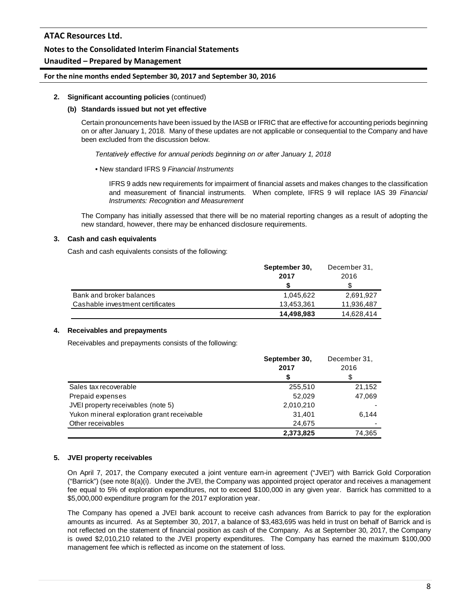# **Notes to the Consolidated Interim Financial Statements**

# **Unaudited – Prepared by Management**

## **For the nine months ended September 30, 2017 and September 30, 2016**

## **2. Significant accounting policies** (continued)

### **(b) Standards issued but not yet effective**

Certain pronouncements have been issued by the IASB or IFRIC that are effective for accounting periods beginning on or after January 1, 2018. Many of these updates are not applicable or consequential to the Company and have been excluded from the discussion below.

*Tentatively effective for annual periods beginning on or after January 1, 2018*

## • New standard IFRS 9 *Financial Instruments*

IFRS 9 adds new requirements for impairment of financial assets and makes changes to the classification and measurement of financial instruments. When complete, IFRS 9 will replace IAS 39 *Financial Instruments: Recognition and Measurement*

The Company has initially assessed that there will be no material reporting changes as a result of adopting the new standard, however, there may be enhanced disclosure requirements.

# **3. Cash and cash equivalents**

Cash and cash equivalents consists of the following:

|                                  | September 30, | December 31, |
|----------------------------------|---------------|--------------|
|                                  | 2017          | 2016         |
|                                  |               |              |
| Bank and broker balances         | 1.045.622     | 2.691.927    |
| Cashable investment certificates | 13,453,361    | 11,936,487   |
|                                  | 14,498,983    | 14,628,414   |

#### **4. Receivables and prepayments**

Receivables and prepayments consists of the following:

|                                            | September 30,<br>2017 | December 31,<br>2016 |
|--------------------------------------------|-----------------------|----------------------|
|                                            | S                     |                      |
| Sales tax recoverable                      | 255,510               | 21,152               |
| Prepaid expenses                           | 52.029                | 47,069               |
| JVEI property receivables (note 5)         | 2,010,210             |                      |
| Yukon mineral exploration grant receivable | 31,401                | 6.144                |
| Other receivables                          | 24,675                |                      |
|                                            | 2,373,825             | 74.365               |

# **5. JVEI property receivables**

On April 7, 2017, the Company executed a joint venture earn-in agreement ("JVEI") with Barrick Gold Corporation ("Barrick") (see note 8(a)(i). Under the JVEI, the Company was appointed project operator and receives a management fee equal to 5% of exploration expenditures, not to exceed \$100,000 in any given year. Barrick has committed to a \$5,000,000 expenditure program for the 2017 exploration year.

The Company has opened a JVEI bank account to receive cash advances from Barrick to pay for the exploration amounts as incurred. As at September 30, 2017, a balance of \$3,483,695 was held in trust on behalf of Barrick and is not reflected on the statement of financial position as cash of the Company. As at September 30, 2017, the Company is owed \$2,010,210 related to the JVEI property expenditures. The Company has earned the maximum \$100,000 management fee which is reflected as income on the statement of loss.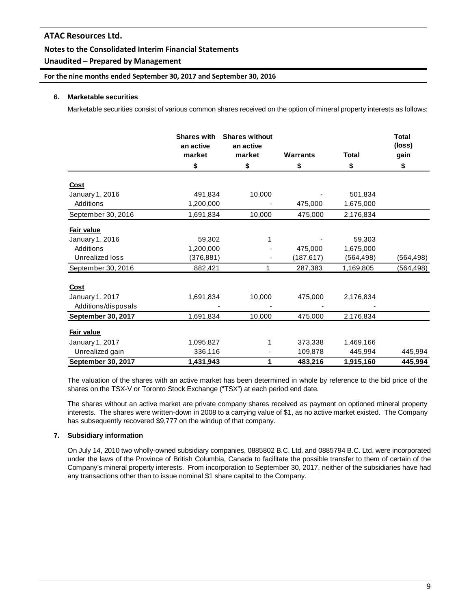# **Notes to the Consolidated Interim Financial Statements**

# **Unaudited – Prepared by Management**

# **For the nine months ended September 30, 2017 and September 30, 2016**

## **6. Marketable securities**

Marketable securities consist of various common shares received on the option of mineral property interests as follows:

|                           | <b>Shares with</b><br>an active<br>market | <b>Shares without</b><br>an active<br>market | <b>Warrants</b> | <b>Total</b> | <b>Total</b><br>(loss)<br>gain |
|---------------------------|-------------------------------------------|----------------------------------------------|-----------------|--------------|--------------------------------|
|                           | \$                                        | \$                                           | \$              | \$           | \$                             |
| <b>Cost</b>               |                                           |                                              |                 |              |                                |
| January 1, 2016           | 491,834                                   | 10,000                                       |                 | 501,834      |                                |
| Additions                 | 1,200,000                                 |                                              | 475,000         | 1,675,000    |                                |
| September 30, 2016        | 1,691,834                                 | 10,000                                       | 475,000         | 2,176,834    |                                |
| Fair value                |                                           |                                              |                 |              |                                |
| January 1, 2016           | 59,302                                    | 1                                            |                 | 59,303       |                                |
| Additions                 | 1,200,000                                 |                                              | 475,000         | 1,675,000    |                                |
| Unrealized loss           | (376, 881)                                |                                              | (187,617)       | (564,498)    | (564,498)                      |
| September 30, 2016        | 882,421                                   | 1                                            | 287,383         | 1,169,805    | (564, 498)                     |
| <b>Cost</b>               |                                           |                                              |                 |              |                                |
| January 1, 2017           | 1,691,834                                 | 10,000                                       | 475,000         | 2,176,834    |                                |
| Additions/disposals       |                                           |                                              |                 |              |                                |
| <b>September 30, 2017</b> | 1,691,834                                 | 10,000                                       | 475,000         | 2,176,834    |                                |
| Fair value                |                                           |                                              |                 |              |                                |
| January 1, 2017           | 1,095,827                                 | 1                                            | 373,338         | 1,469,166    |                                |
| Unrealized gain           | 336,116                                   |                                              | 109,878         | 445,994      | 445,994                        |
| September 30, 2017        | 1,431,943                                 | 1                                            | 483,216         | 1,915,160    | 445.994                        |

The valuation of the shares with an active market has been determined in whole by reference to the bid price of the shares on the TSX-V or Toronto Stock Exchange ("TSX") at each period end date.

The shares without an active market are private company shares received as payment on optioned mineral property interests. The shares were written-down in 2008 to a carrying value of \$1, as no active market existed. The Company has subsequently recovered \$9,777 on the windup of that company.

# **7. Subsidiary information**

On July 14, 2010 two wholly-owned subsidiary companies, 0885802 B.C. Ltd. and 0885794 B.C. Ltd. were incorporated under the laws of the Province of British Columbia, Canada to facilitate the possible transfer to them of certain of the Company's mineral property interests. From incorporation to September 30, 2017, neither of the subsidiaries have had any transactions other than to issue nominal \$1 share capital to the Company.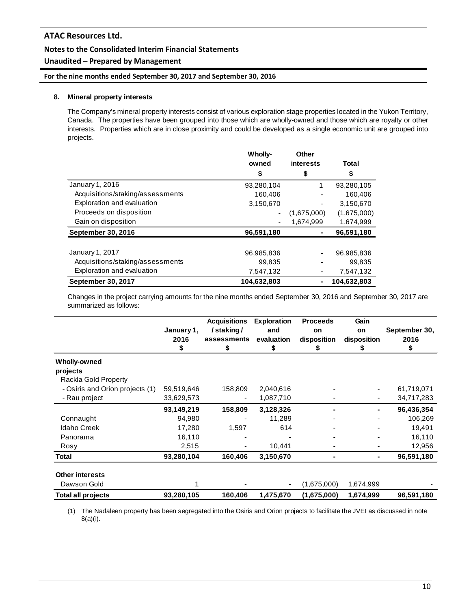# **Notes to the Consolidated Interim Financial Statements**

# **Unaudited – Prepared by Management**

# **For the nine months ended September 30, 2017 and September 30, 2016**

## **8. Mineral property interests**

The Company's mineral property interests consist of various exploration stage properties located in the Yukon Territory, Canada. The properties have been grouped into those which are wholly-owned and those which are royalty or other interests. Properties which are in close proximity and could be developed as a single economic unit are grouped into projects.

|                                  | Wholly-<br>owned | <b>Other</b><br><b>interests</b> | <b>Total</b> |
|----------------------------------|------------------|----------------------------------|--------------|
|                                  | \$               | \$                               | \$           |
| January 1, 2016                  | 93.280.104       | 1                                | 93,280,105   |
| Acquisitions/staking/assessments | 160,406          |                                  | 160,406      |
| Exploration and evaluation       | 3,150,670        |                                  | 3,150,670    |
| Proceeds on disposition          | ٠                | (1,675,000)                      | (1,675,000)  |
| Gain on disposition              |                  | 1,674,999                        | 1,674,999    |
| September 30, 2016               | 96,591,180       |                                  | 96,591,180   |
|                                  |                  |                                  |              |
| January 1, 2017                  | 96,985,836       | ٠                                | 96,985,836   |
| Acquisitions/staking/assessments | 99,835           |                                  | 99,835       |
| Exploration and evaluation       | 7,547,132        |                                  | 7,547,132    |
| <b>September 30, 2017</b>        | 104.632.803      | -                                | 104.632.803  |

Changes in the project carrying amounts for the nine months ended September 30, 2016 and September 30, 2017 are summarized as follows:

|                                 | January 1,<br>2016<br>æ. | <b>Acquisitions</b><br>/staking/<br>assessments<br>\$ | <b>Exploration</b><br>and<br>evaluation<br>ъ | <b>Proceeds</b><br>on<br>disposition<br>æ | Gain<br>on<br>disposition<br>J. | September 30,<br>2016<br>\$ |
|---------------------------------|--------------------------|-------------------------------------------------------|----------------------------------------------|-------------------------------------------|---------------------------------|-----------------------------|
| <b>Wholly-owned</b>             |                          |                                                       |                                              |                                           |                                 |                             |
| projects                        |                          |                                                       |                                              |                                           |                                 |                             |
| Rackla Gold Property            |                          |                                                       |                                              |                                           |                                 |                             |
| - Osiris and Orion projects (1) | 59,519,646               | 158,809                                               | 2,040,616                                    |                                           |                                 | 61,719,071                  |
| - Rau project                   | 33,629,573               |                                                       | 1,087,710                                    |                                           |                                 | 34,717,283                  |
|                                 | 93,149,219               | 158,809                                               | 3,128,326                                    |                                           | ۰.                              | 96,436,354                  |
| Connaught                       | 94,980                   |                                                       | 11,289                                       |                                           |                                 | 106,269                     |
| <b>Idaho Creek</b>              | 17,280                   | 1,597                                                 | 614                                          |                                           |                                 | 19,491                      |
| Panorama                        | 16,110                   |                                                       |                                              |                                           |                                 | 16,110                      |
| Rosy                            | 2,515                    |                                                       | 10,441                                       |                                           |                                 | 12,956                      |
| Total                           | 93,280,104               | 160,406                                               | 3,150,670                                    |                                           |                                 | 96,591,180                  |
| <b>Other interests</b>          |                          |                                                       |                                              |                                           |                                 |                             |
| Dawson Gold                     |                          |                                                       |                                              | (1,675,000)                               | 1,674,999                       |                             |
| <b>Total all projects</b>       | 93,280,105               | 160,406                                               | 1,475,670                                    | (1,675,000)                               | 1,674,999                       | 96,591,180                  |

(1) The Nadaleen property has been segregated into the Osiris and Orion projects to facilitate the JVEI as discussed in note 8(a)(i).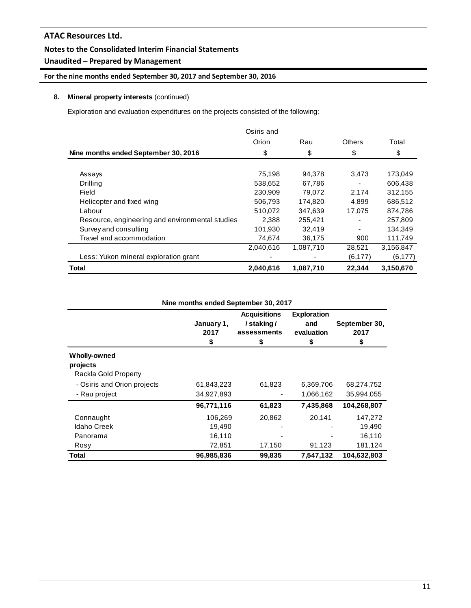# **Unaudited – Prepared by Management**

# **For the nine months ended September 30, 2017 and September 30, 2016**

# **8. Mineral property interests** (continued)

Exploration and evaluation expenditures on the projects consisted of the following:

|                                                 | Osiris and |           |          |           |
|-------------------------------------------------|------------|-----------|----------|-----------|
|                                                 | Orion      | Rau       | Others   | Total     |
| Nine months ended September 30, 2016            | \$         | \$        | \$       | \$        |
|                                                 |            |           |          |           |
| Assays                                          | 75,198     | 94,378    | 3.473    | 173,049   |
| Drilling                                        | 538,652    | 67,786    |          | 606.438   |
| Field                                           | 230.909    | 79,072    | 2,174    | 312,155   |
| Helicopter and fixed wing                       | 506,793    | 174,820   | 4,899    | 686,512   |
| Labour                                          | 510.072    | 347,639   | 17,075   | 874,786   |
| Resource, engineering and environmental studies | 2.388      | 255,421   |          | 257,809   |
| Survey and consulting                           | 101,930    | 32,419    |          | 134,349   |
| Travel and accommodation                        | 74,674     | 36,175    | 900      | 111,749   |
|                                                 | 2,040,616  | 1,087,710 | 28,521   | 3,156,847 |
| Less: Yukon mineral exploration grant           |            |           | (6, 177) | (6, 177)  |
| Total                                           | 2,040,616  | 1,087,710 | 22.344   | 3,150,670 |

|                             | January 1,<br>2017<br>\$ | <b>Acquisitions</b><br>/staking/<br>assessments<br>S | <b>Exploration</b><br>and<br>evaluation<br>\$ | September 30,<br>2017<br>\$ |
|-----------------------------|--------------------------|------------------------------------------------------|-----------------------------------------------|-----------------------------|
| <b>Wholly-owned</b>         |                          |                                                      |                                               |                             |
| projects                    |                          |                                                      |                                               |                             |
| Rackla Gold Property        |                          |                                                      |                                               |                             |
| - Osiris and Orion projects | 61,843,223               | 61,823                                               | 6,369,706                                     | 68,274,752                  |
| - Rau project               | 34,927,893               |                                                      | 1,066,162                                     | 35,994,055                  |
|                             | 96,771,116               | 61,823                                               | 7,435,868                                     | 104,268,807                 |
| Connaught                   | 106,269                  | 20,862                                               | 20,141                                        | 147,272                     |
| Idaho Creek                 | 19,490                   |                                                      |                                               | 19,490                      |
| Panorama                    | 16,110                   |                                                      |                                               | 16,110                      |
| Rosy                        | 72,851                   | 17,150                                               | 91,123                                        | 181,124                     |
| Total                       | 96,985,836               | 99,835                                               | 7,547,132                                     | 104,632,803                 |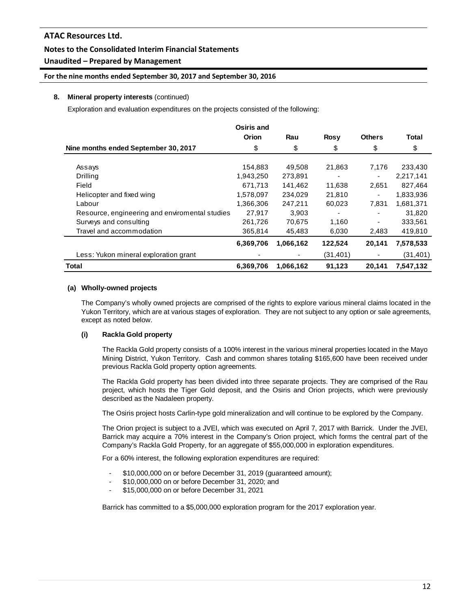# **Unaudited – Prepared by Management**

## **For the nine months ended September 30, 2017 and September 30, 2016**

## **8. Mineral property interests** (continued)

Exploration and evaluation expenditures on the projects consisted of the following:

|                                                | Osiris and |           |             |               |           |
|------------------------------------------------|------------|-----------|-------------|---------------|-----------|
|                                                | Orion      | Rau       | <b>Rosy</b> | <b>Others</b> | Total     |
| Nine months ended September 30, 2017           | \$         | \$        | \$          | \$            | \$        |
|                                                |            |           |             |               |           |
| Assays                                         | 154,883    | 49,508    | 21,863      | 7.176         | 233,430   |
| Drilling                                       | 1,943,250  | 273,891   |             |               | 2,217,141 |
| Field                                          | 671,713    | 141.462   | 11,638      | 2,651         | 827.464   |
| Helicopter and fixed wing                      | 1,578,097  | 234,029   | 21,810      |               | 1,833,936 |
| Labour                                         | 1,366,306  | 247,211   | 60,023      | 7,831         | 1,681,371 |
| Resource, engineering and enviromental studies | 27,917     | 3,903     |             |               | 31,820    |
| Surveys and consulting                         | 261,726    | 70,675    | 1,160       |               | 333,561   |
| Travel and accommodation                       | 365,814    | 45,483    | 6,030       | 2,483         | 419,810   |
|                                                | 6,369,706  | 1,066,162 | 122,524     | 20,141        | 7,578,533 |
| Less: Yukon mineral exploration grant          |            |           | (31, 401)   |               | (31,401)  |
| <b>Total</b>                                   | 6,369,706  | 1,066,162 | 91,123      | 20,141        | 7,547,132 |

## **(a) Wholly-owned projects**

The Company's wholly owned projects are comprised of the rights to explore various mineral claims located in the Yukon Territory, which are at various stages of exploration. They are not subject to any option or sale agreements, except as noted below.

# **(i) Rackla Gold property**

The Rackla Gold property consists of a 100% interest in the various mineral properties located in the Mayo Mining District, Yukon Territory. Cash and common shares totaling \$165,600 have been received under previous Rackla Gold property option agreements.

The Rackla Gold property has been divided into three separate projects. They are comprised of the Rau project, which hosts the Tiger Gold deposit, and the Osiris and Orion projects, which were previously described as the Nadaleen property.

The Osiris project hosts Carlin-type gold mineralization and will continue to be explored by the Company.

The Orion project is subject to a JVEI, which was executed on April 7, 2017 with Barrick. Under the JVEI, Barrick may acquire a 70% interest in the Company's Orion project, which forms the central part of the Company's Rackla Gold Property, for an aggregate of \$55,000,000 in exploration expenditures.

For a 60% interest, the following exploration expenditures are required:

- \$10,000,000 on or before December 31, 2019 (guaranteed amount);
- \$10,000,000 on or before December 31, 2020; and
- \$15,000,000 on or before December 31, 2021

Barrick has committed to a \$5,000,000 exploration program for the 2017 exploration year.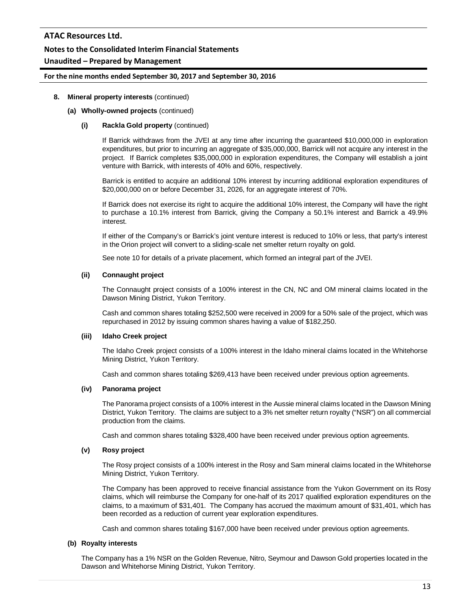# **Notes to the Consolidated Interim Financial Statements**

# **Unaudited – Prepared by Management**

#### **For the nine months ended September 30, 2017 and September 30, 2016**

### **8. Mineral property interests** (continued)

## **(a) Wholly-owned projects** (continued)

### **(i) Rackla Gold property** (continued)

If Barrick withdraws from the JVEI at any time after incurring the guaranteed \$10,000,000 in exploration expenditures, but prior to incurring an aggregate of \$35,000,000, Barrick will not acquire any interest in the project. If Barrick completes \$35,000,000 in exploration expenditures, the Company will establish a joint venture with Barrick, with interests of 40% and 60%, respectively.

Barrick is entitled to acquire an additional 10% interest by incurring additional exploration expenditures of \$20,000,000 on or before December 31, 2026, for an aggregate interest of 70%.

If Barrick does not exercise its right to acquire the additional 10% interest, the Company will have the right to purchase a 10.1% interest from Barrick, giving the Company a 50.1% interest and Barrick a 49.9% interest.

If either of the Company's or Barrick's joint venture interest is reduced to 10% or less, that party's interest in the Orion project will convert to a sliding-scale net smelter return royalty on gold.

See note 10 for details of a private placement, which formed an integral part of the JVEI.

#### **(ii) Connaught project**

The Connaught project consists of a 100% interest in the CN, NC and OM mineral claims located in the Dawson Mining District, Yukon Territory.

Cash and common shares totaling \$252,500 were received in 2009 for a 50% sale of the project, which was repurchased in 2012 by issuing common shares having a value of \$182,250.

#### **(iii) Idaho Creek project**

The Idaho Creek project consists of a 100% interest in the Idaho mineral claims located in the Whitehorse Mining District, Yukon Territory.

Cash and common shares totaling \$269,413 have been received under previous option agreements.

#### **(iv) Panorama project**

The Panorama project consists of a 100% interest in the Aussie mineral claims located in the Dawson Mining District, Yukon Territory. The claims are subject to a 3% net smelter return royalty ("NSR") on all commercial production from the claims.

Cash and common shares totaling \$328,400 have been received under previous option agreements.

#### **(v) Rosy project**

The Rosy project consists of a 100% interest in the Rosy and Sam mineral claims located in the Whitehorse Mining District, Yukon Territory.

The Company has been approved to receive financial assistance from the Yukon Government on its Rosy claims, which will reimburse the Company for one-half of its 2017 qualified exploration expenditures on the claims, to a maximum of \$31,401. The Company has accrued the maximum amount of \$31,401, which has been recorded as a reduction of current year exploration expenditures.

Cash and common shares totaling \$167,000 have been received under previous option agreements.

#### **(b) Royalty interests**

The Company has a 1% NSR on the Golden Revenue, Nitro, Seymour and Dawson Gold properties located in the Dawson and Whitehorse Mining District, Yukon Territory.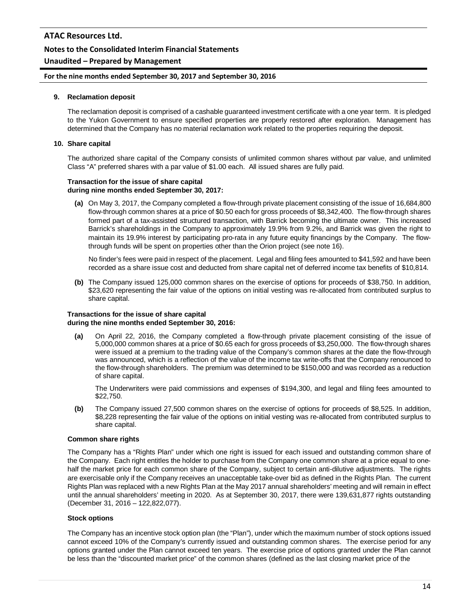# **Unaudited – Prepared by Management**

#### **For the nine months ended September 30, 2017 and September 30, 2016**

#### **9. Reclamation deposit**

The reclamation deposit is comprised of a cashable guaranteed investment certificate with a one year term. It is pledged to the Yukon Government to ensure specified properties are properly restored after exploration. Management has determined that the Company has no material reclamation work related to the properties requiring the deposit.

#### **10. Share capital**

The authorized share capital of the Company consists of unlimited common shares without par value, and unlimited Class "A" preferred shares with a par value of \$1.00 each. All issued shares are fully paid.

#### **Transaction for the issue of share capital during nine months ended September 30, 2017:**

**(a)** On May 3, 2017, the Company completed a flow-through private placement consisting of the issue of 16,684,800 flow-through common shares at a price of \$0.50 each for gross proceeds of \$8,342,400. The flow-through shares formed part of a tax-assisted structured transaction, with Barrick becoming the ultimate owner. This increased Barrick's shareholdings in the Company to approximately 19.9% from 9.2%, and Barrick was given the right to maintain its 19.9% interest by participating pro-rata in any future equity financings by the Company. The flowthrough funds will be spent on properties other than the Orion project (see note 16).

No finder's fees were paid in respect of the placement. Legal and filing fees amounted to \$41,592 and have been recorded as a share issue cost and deducted from share capital net of deferred income tax benefits of \$10,814.

**(b)** The Company issued 125,000 common shares on the exercise of options for proceeds of \$38,750. In addition, \$23,620 representing the fair value of the options on initial vesting was re-allocated from contributed surplus to share capital.

#### **Transactions for the issue of share capital during the nine months ended September 30, 2016:**

**(a)** On April 22, 2016, the Company completed a flow-through private placement consisting of the issue of 5,000,000 common shares at a price of \$0.65 each for gross proceeds of \$3,250,000. The flow-through shares were issued at a premium to the trading value of the Company's common shares at the date the flow-through was announced, which is a reflection of the value of the income tax write-offs that the Company renounced to the flow-through shareholders. The premium was determined to be \$150,000 and was recorded as a reduction of share capital.

The Underwriters were paid commissions and expenses of \$194,300, and legal and filing fees amounted to \$22,750.

**(b)** The Company issued 27,500 common shares on the exercise of options for proceeds of \$8,525. In addition, \$8,228 representing the fair value of the options on initial vesting was re-allocated from contributed surplus to share capital.

#### **Common share rights**

The Company has a "Rights Plan" under which one right is issued for each issued and outstanding common share of the Company. Each right entitles the holder to purchase from the Company one common share at a price equal to onehalf the market price for each common share of the Company, subject to certain anti-dilutive adjustments. The rights are exercisable only if the Company receives an unacceptable take-over bid as defined in the Rights Plan. The current Rights Plan was replaced with a new Rights Plan at the May 2017 annual shareholders' meeting and will remain in effect until the annual shareholders' meeting in 2020. As at September 30, 2017, there were 139,631,877 rights outstanding (December 31, 2016 – 122,822,077).

#### **Stock options**

The Company has an incentive stock option plan (the "Plan"), under which the maximum number of stock options issued cannot exceed 10% of the Company's currently issued and outstanding common shares. The exercise period for any options granted under the Plan cannot exceed ten years. The exercise price of options granted under the Plan cannot be less than the "discounted market price" of the common shares (defined as the last closing market price of the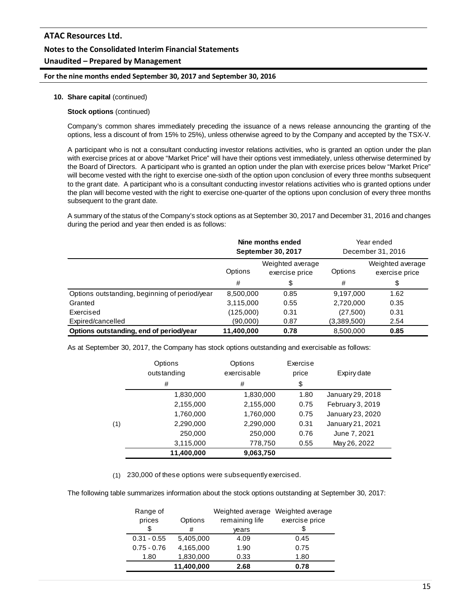# **ATAC Resources Ltd. Notes to the Consolidated Interim Financial Statements Unaudited – Prepared by Management**

## **For the nine months ended September 30, 2017 and September 30, 2016**

#### **10. Share capital** (continued)

#### **Stock options** (continued)

Company's common shares immediately preceding the issuance of a news release announcing the granting of the options, less a discount of from 15% to 25%), unless otherwise agreed to by the Company and accepted by the TSX-V.

A participant who is not a consultant conducting investor relations activities, who is granted an option under the plan with exercise prices at or above "Market Price" will have their options vest immediately, unless otherwise determined by the Board of Directors. A participant who is granted an option under the plan with exercise prices below "Market Price" will become vested with the right to exercise one-sixth of the option upon conclusion of every three months subsequent to the grant date. A participant who is a consultant conducting investor relations activities who is granted options under the plan will become vested with the right to exercise one-quarter of the options upon conclusion of every three months subsequent to the grant date.

A summary of the status of the Company's stock options as at September 30, 2017 and December 31, 2016 and changes during the period and year then ended is as follows:

|                                               | Nine months ended<br><b>September 30, 2017</b> |      | Year ended<br>December 31, 2016 |                                    |
|-----------------------------------------------|------------------------------------------------|------|---------------------------------|------------------------------------|
|                                               | Weighted average<br>Options<br>exercise price  |      | Options                         | Weighted average<br>exercise price |
|                                               | #                                              | \$   | #                               | \$                                 |
| Options outstanding, beginning of period/year | 8,500,000                                      | 0.85 | 9,197,000                       | 1.62                               |
| Granted                                       | 3,115,000                                      | 0.55 | 2,720,000                       | 0.35                               |
| Exercised                                     | (125,000)                                      | 0.31 | (27,500)                        | 0.31                               |
| Expired/cancelled                             | (90,000)                                       | 0.87 | (3,389,500)                     | 2.54                               |
| Options outstanding, end of period/year       | 11,400,000                                     | 0.78 | 8,500,000                       | 0.85                               |

As at September 30, 2017, the Company has stock options outstanding and exercisable as follows:

|     | Options<br>outstanding | Options<br>exercisable | Exercise<br>price | Expiry date      |
|-----|------------------------|------------------------|-------------------|------------------|
|     | #                      | #                      | \$                |                  |
|     | 1,830,000              | 1,830,000              | 1.80              | January 29, 2018 |
|     | 2,155,000              | 2,155,000              | 0.75              | February 3, 2019 |
|     | 1,760,000              | 1,760,000              | 0.75              | January 23, 2020 |
| (1) | 2,290,000              | 2,290,000              | 0.31              | January 21, 2021 |
|     | 250,000                | 250,000                | 0.76              | June 7, 2021     |
|     | 3,115,000              | 778,750                | 0.55              | May 26, 2022     |
|     | 11,400,000             | 9,063,750              |                   |                  |

(1) 230,000 of these options were subsequently exercised.

The following table summarizes information about the stock options outstanding at September 30, 2017:

| Range of      |            | Weighted average | Weighted average |
|---------------|------------|------------------|------------------|
| prices        | Options    | remaining life   | exercise price   |
| \$            | #          | vears            |                  |
| $0.31 - 0.55$ | 5,405,000  | 4.09             | 0.45             |
| $0.75 - 0.76$ | 4,165,000  | 1.90             | 0.75             |
| 1.80          | 1,830,000  | 0.33             | 1.80             |
|               | 11,400,000 | 2.68             | 0.78             |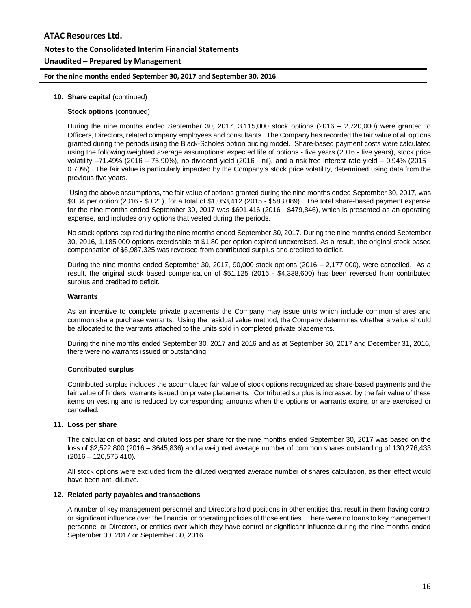# **ATAC Resources Ltd. Notes to the Consolidated Interim Financial Statements Unaudited – Prepared by Management**

# **For the nine months ended September 30, 2017 and September 30, 2016**

### **10. Share capital** (continued)

#### **Stock options** (continued)

During the nine months ended September 30, 2017, 3,115,000 stock options (2016 – 2,720,000) were granted to Officers, Directors, related company employees and consultants. The Company has recorded the fair value of all options granted during the periods using the Black-Scholes option pricing model. Share-based payment costs were calculated using the following weighted average assumptions: expected life of options - five years (2016 - five years), stock price volatility –71.49% (2016 – 75.90%), no dividend yield (2016 - nil), and a risk-free interest rate yield – 0.94% (2015 - 0.70%). The fair value is particularly impacted by the Company's stock price volatility, determined using data from the previous five years.

Using the above assumptions, the fair value of options granted during the nine months ended September 30, 2017, was \$0.34 per option (2016 - \$0.21), for a total of \$1,053,412 (2015 - \$583,089). The total share-based payment expense for the nine months ended September 30, 2017 was \$601,416 (2016 - \$479,846), which is presented as an operating expense, and includes only options that vested during the periods.

No stock options expired during the nine months ended September 30, 2017. During the nine months ended September 30, 2016, 1,185,000 options exercisable at \$1.80 per option expired unexercised. As a result, the original stock based compensation of \$6,987,325 was reversed from contributed surplus and credited to deficit.

During the nine months ended September 30, 2017, 90,000 stock options (2016 – 2,177,000), were cancelled. As a result, the original stock based compensation of \$51,125 (2016 - \$4,338,600) has been reversed from contributed surplus and credited to deficit.

#### **Warrants**

As an incentive to complete private placements the Company may issue units which include common shares and common share purchase warrants. Using the residual value method, the Company determines whether a value should be allocated to the warrants attached to the units sold in completed private placements.

During the nine months ended September 30, 2017 and 2016 and as at September 30, 2017 and December 31, 2016, there were no warrants issued or outstanding.

# **Contributed surplus**

Contributed surplus includes the accumulated fair value of stock options recognized as share-based payments and the fair value of finders' warrants issued on private placements. Contributed surplus is increased by the fair value of these items on vesting and is reduced by corresponding amounts when the options or warrants expire, or are exercised or cancelled.

#### **11. Loss per share**

The calculation of basic and diluted loss per share for the nine months ended September 30, 2017 was based on the loss of \$2,522,800 (2016 – \$645,836) and a weighted average number of common shares outstanding of 130,276,433 (2016 – 120,575,410).

All stock options were excluded from the diluted weighted average number of shares calculation, as their effect would have been anti-dilutive.

#### **12. Related party payables and transactions**

A number of key management personnel and Directors hold positions in other entities that result in them having control or significant influence over the financial or operating policies of those entities. There were no loans to key management personnel or Directors, or entities over which they have control or significant influence during the nine months ended September 30, 2017 or September 30, 2016.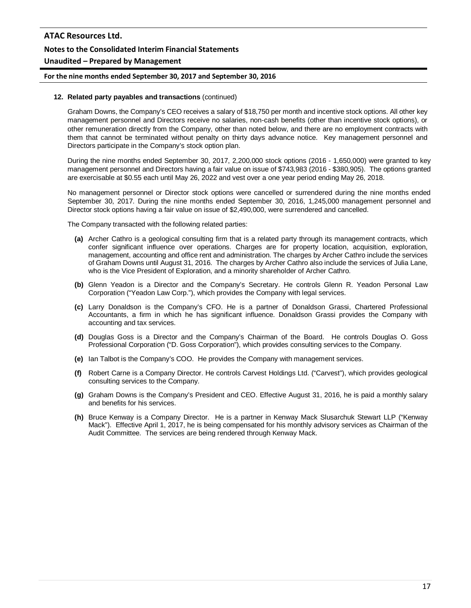# **For the nine months ended September 30, 2017 and September 30, 2016**

#### **12. Related party payables and transactions** (continued)

Graham Downs, the Company's CEO receives a salary of \$18,750 per month and incentive stock options. All other key management personnel and Directors receive no salaries, non-cash benefits (other than incentive stock options), or other remuneration directly from the Company, other than noted below, and there are no employment contracts with them that cannot be terminated without penalty on thirty days advance notice. Key management personnel and Directors participate in the Company's stock option plan.

During the nine months ended September 30, 2017, 2,200,000 stock options (2016 - 1,650,000) were granted to key management personnel and Directors having a fair value on issue of \$743,983 (2016 - \$380,905). The options granted are exercisable at \$0.55 each until May 26, 2022 and vest over a one year period ending May 26, 2018.

No management personnel or Director stock options were cancelled or surrendered during the nine months ended September 30, 2017. During the nine months ended September 30, 2016, 1,245,000 management personnel and Director stock options having a fair value on issue of \$2,490,000, were surrendered and cancelled.

The Company transacted with the following related parties:

- **(a)** Archer Cathro is a geological consulting firm that is a related party through its management contracts, which confer significant influence over operations. Charges are for property location, acquisition, exploration, management, accounting and office rent and administration. The charges by Archer Cathro include the services of Graham Downs until August 31, 2016. The charges by Archer Cathro also include the services of Julia Lane, who is the Vice President of Exploration, and a minority shareholder of Archer Cathro.
- **(b)** Glenn Yeadon is a Director and the Company's Secretary. He controls Glenn R. Yeadon Personal Law Corporation ("Yeadon Law Corp."), which provides the Company with legal services.
- **(c)** Larry Donaldson is the Company's CFO. He is a partner of Donaldson Grassi, Chartered Professional Accountants, a firm in which he has significant influence. Donaldson Grassi provides the Company with accounting and tax services.
- **(d)** Douglas Goss is a Director and the Company's Chairman of the Board. He controls Douglas O. Goss Professional Corporation ("D. Goss Corporation"), which provides consulting services to the Company.
- **(e)** Ian Talbot is the Company's COO. He provides the Company with management services.
- **(f)** Robert Carne is a Company Director. He controls Carvest Holdings Ltd. ("Carvest"), which provides geological consulting services to the Company.
- **(g)** Graham Downs is the Company's President and CEO. Effective August 31, 2016, he is paid a monthly salary and benefits for his services.
- **(h)** Bruce Kenway is a Company Director. He is a partner in Kenway Mack Slusarchuk Stewart LLP ("Kenway Mack"). Effective April 1, 2017, he is being compensated for his monthly advisory services as Chairman of the Audit Committee. The services are being rendered through Kenway Mack.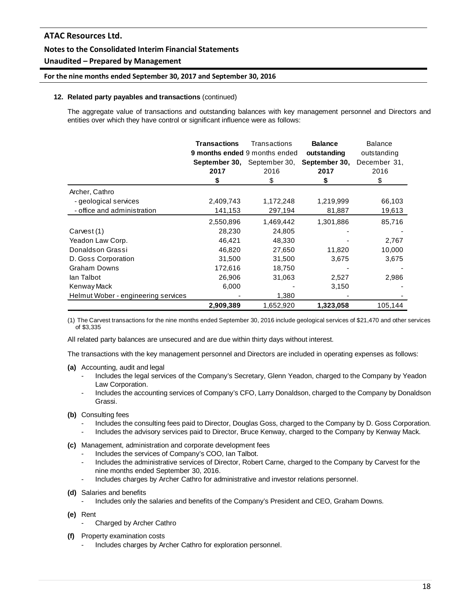# **Unaudited – Prepared by Management**

## **For the nine months ended September 30, 2017 and September 30, 2016**

### **12. Related party payables and transactions** (continued)

The aggregate value of transactions and outstanding balances with key management personnel and Directors and entities over which they have control or significant influence were as follows:

|                                     | <b>Transactions</b><br>2017 | Transactions<br>9 months ended 9 months ended<br><b>September 30, September 30,</b><br>2016 | <b>Balance</b><br>outstanding<br>September 30,<br>2017 | <b>Balance</b><br>outstanding<br>December 31,<br>2016 |
|-------------------------------------|-----------------------------|---------------------------------------------------------------------------------------------|--------------------------------------------------------|-------------------------------------------------------|
|                                     | \$                          | \$                                                                                          | \$                                                     | \$                                                    |
| Archer, Cathro                      |                             |                                                                                             |                                                        |                                                       |
| - geological services               | 2,409,743                   | 1,172,248                                                                                   | 1,219,999                                              | 66,103                                                |
| - office and administration         | 141,153                     | 297,194                                                                                     | 81,887                                                 | 19,613                                                |
|                                     | 2,550,896                   | 1,469,442                                                                                   | 1,301,886                                              | 85,716                                                |
| Carvest (1)                         | 28,230                      | 24,805                                                                                      |                                                        |                                                       |
| Yeadon Law Corp.                    | 46,421                      | 48,330                                                                                      |                                                        | 2,767                                                 |
| Donaldson Grassi                    | 46,820                      | 27,650                                                                                      | 11,820                                                 | 10,000                                                |
| D. Goss Corporation                 | 31,500                      | 31,500                                                                                      | 3,675                                                  | 3,675                                                 |
| <b>Graham Downs</b>                 | 172,616                     | 18,750                                                                                      |                                                        |                                                       |
| lan Talbot                          | 26,906                      | 31,063                                                                                      | 2,527                                                  | 2,986                                                 |
| Kenway Mack                         | 6,000                       |                                                                                             | 3,150                                                  |                                                       |
| Helmut Wober - engineering services |                             | 1,380                                                                                       |                                                        |                                                       |
|                                     | 2,909,389                   | 1,652,920                                                                                   | 1,323,058                                              | 105,144                                               |

(1) The Carvest transactions for the nine months ended September 30, 2016 include geological services of \$21,470 and other services of \$3,335

All related party balances are unsecured and are due within thirty days without interest.

The transactions with the key management personnel and Directors are included in operating expenses as follows:

- **(a)** Accounting, audit and legal
	- Includes the legal services of the Company's Secretary, Glenn Yeadon, charged to the Company by Yeadon Law Corporation.
	- Includes the accounting services of Company's CFO, Larry Donaldson, charged to the Company by Donaldson Grassi.
- **(b)** Consulting fees
	- Includes the consulting fees paid to Director, Douglas Goss, charged to the Company by D. Goss Corporation.
	- Includes the advisory services paid to Director, Bruce Kenway, charged to the Company by Kenway Mack.
- **(c)** Management, administration and corporate development fees
	- Includes the services of Company's COO, Ian Talbot.
	- Includes the administrative services of Director, Robert Carne, charged to the Company by Carvest for the nine months ended September 30, 2016.
	- Includes charges by Archer Cathro for administrative and investor relations personnel.
- **(d)** Salaries and benefits
	- Includes only the salaries and benefits of the Company's President and CEO, Graham Downs.
- **(e)** Rent
	- Charged by Archer Cathro
- **(f)** Property examination costs
	- Includes charges by Archer Cathro for exploration personnel.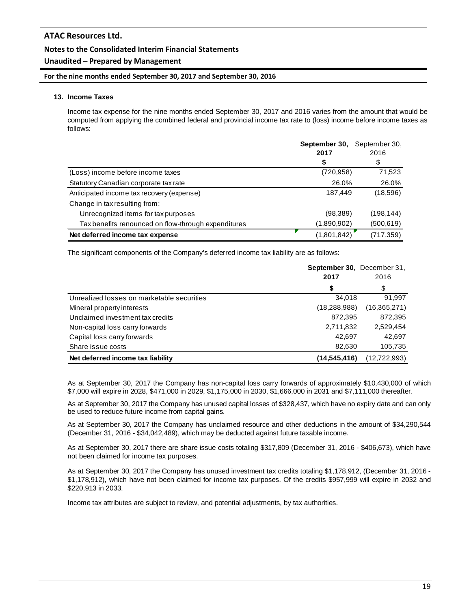# **Unaudited – Prepared by Management**

## **For the nine months ended September 30, 2017 and September 30, 2016**

### **13. Income Taxes**

Income tax expense for the nine months ended September 30, 2017 and 2016 varies from the amount that would be computed from applying the combined federal and provincial income tax rate to (loss) income before income taxes as follows:

|                                                     | September 30, | September 30, |
|-----------------------------------------------------|---------------|---------------|
|                                                     | 2017          | 2016          |
|                                                     | \$            | \$            |
| (Loss) income before income taxes                   | (720, 958)    | 71,523        |
| Statutory Canadian corporate tax rate               | 26.0%         | 26.0%         |
| Anticipated income tax recovery (expense)           | 187,449       | (18,596)      |
| Change in tax resulting from:                       |               |               |
| Unrecognized items for tax purposes                 | (98, 389)     | (198,144)     |
| Tax benefits renounced on flow-through expenditures | (1,890,902)   | (500,619)     |
| Net deferred income tax expense                     | (1,801,842)   | (717,359)     |

The significant components of the Company's deferred income tax liability are as follows:

|                                            | September 30, December 31, |                |
|--------------------------------------------|----------------------------|----------------|
|                                            | 2017                       | 2016           |
|                                            | \$                         | \$             |
| Unrealized losses on marketable securities | 34.018                     | 91,997         |
| Mineral property interests                 | (18, 288, 988)             | (16, 365, 271) |
| Unclaimed investment tax credits           | 872,395                    | 872,395        |
| Non-capital loss carry forwards            | 2,711,832                  | 2,529,454      |
| Capital loss carry forwards                | 42.697                     | 42,697         |
| Share issue costs                          | 82.630                     | 105,735        |
| Net deferred income tax liability          | (14,545,416)               | (12, 722, 993) |

As at September 30, 2017 the Company has non-capital loss carry forwards of approximately \$10,430,000 of which \$7,000 will expire in 2028, \$471,000 in 2029, \$1,175,000 in 2030, \$1,666,000 in 2031 and \$7,111,000 thereafter.

As at September 30, 2017 the Company has unused capital losses of \$328,437, which have no expiry date and can only be used to reduce future income from capital gains.

As at September 30, 2017 the Company has unclaimed resource and other deductions in the amount of \$34,290,544 (December 31, 2016 - \$34,042,489), which may be deducted against future taxable income.

As at September 30, 2017 there are share issue costs totaling \$317,809 (December 31, 2016 - \$406,673), which have not been claimed for income tax purposes.

As at September 30, 2017 the Company has unused investment tax credits totaling \$1,178,912, (December 31, 2016 - \$1,178,912), which have not been claimed for income tax purposes. Of the credits \$957,999 will expire in 2032 and \$220,913 in 2033.

Income tax attributes are subject to review, and potential adjustments, by tax authorities.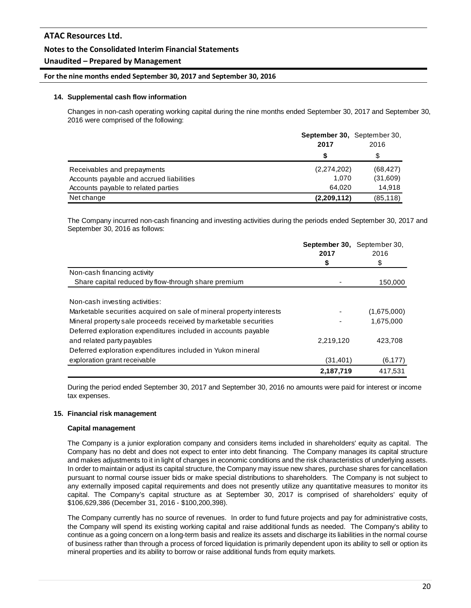# **Unaudited – Prepared by Management**

## **For the nine months ended September 30, 2017 and September 30, 2016**

### **14. Supplemental cash flow information**

Changes in non-cash operating working capital during the nine months ended September 30, 2017 and September 30, 2016 were comprised of the following:

|                                          | <b>September 30.</b> September 30.<br>2017 | 2016      |
|------------------------------------------|--------------------------------------------|-----------|
|                                          |                                            |           |
| Receivables and prepayments              | (2,274,202)                                | (68, 427) |
| Accounts payable and accrued liabilities | 1.070                                      | (31,609)  |
| Accounts payable to related parties      | 64.020                                     | 14.918    |
| Net change                               | (2,209,112)                                | (85, 118) |

The Company incurred non-cash financing and investing activities during the periods ended September 30, 2017 and September 30, 2016 as follows:

|                                                                      | September 30, September 30,<br>2017 | 2016        |
|----------------------------------------------------------------------|-------------------------------------|-------------|
|                                                                      | \$                                  | \$          |
| Non-cash financing activity                                          |                                     |             |
| Share capital reduced by flow-through share premium                  |                                     | 150,000     |
| Non-cash investing activities:                                       |                                     |             |
| Marketable securities acquired on sale of mineral property interests |                                     | (1,675,000) |
| Mineral property sale proceeds received by marketable securities     |                                     | 1,675,000   |
| Deferred exploration expenditures included in accounts payable       |                                     |             |
| and related party payables                                           | 2,219,120                           | 423.708     |
| Deferred exploration expenditures included in Yukon mineral          |                                     |             |
| exploration grant receivable                                         | (31, 401)                           | (6, 177)    |
|                                                                      | 2,187,719                           | 417,531     |

During the period ended September 30, 2017 and September 30, 2016 no amounts were paid for interest or income tax expenses.

## **15. Financial risk management**

#### **Capital management**

The Company is a junior exploration company and considers items included in shareholders' equity as capital. The Company has no debt and does not expect to enter into debt financing. The Company manages its capital structure and makes adjustments to it in light of changes in economic conditions and the risk characteristics of underlying assets. In order to maintain or adjust its capital structure, the Company may issue new shares, purchase shares for cancellation pursuant to normal course issuer bids or make special distributions to shareholders. The Company is not subject to any externally imposed capital requirements and does not presently utilize any quantitative measures to monitor its capital. The Company's capital structure as at September 30, 2017 is comprised of shareholders' equity of \$106,629,386 (December 31, 2016 - \$100,200,398).

The Company currently has no source of revenues. In order to fund future projects and pay for administrative costs, the Company will spend its existing working capital and raise additional funds as needed. The Company's ability to continue as a going concern on a long-term basis and realize its assets and discharge its liabilities in the normal course of business rather than through a process of forced liquidation is primarily dependent upon its ability to sell or option its mineral properties and its ability to borrow or raise additional funds from equity markets.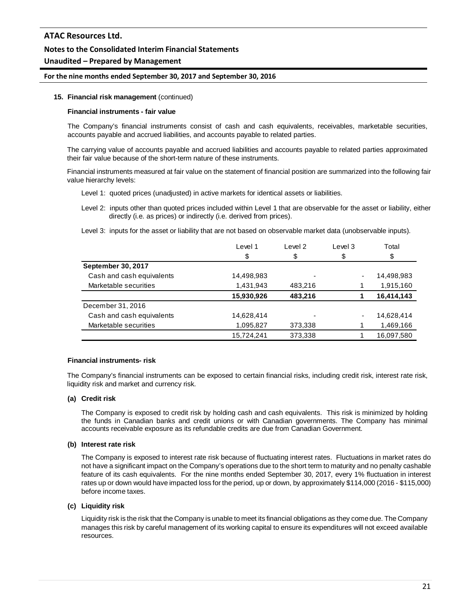# **Unaudited – Prepared by Management**

#### **For the nine months ended September 30, 2017 and September 30, 2016**

#### **15. Financial risk management** (continued)

#### **Financial instruments - fair value**

The Company's financial instruments consist of cash and cash equivalents, receivables, marketable securities, accounts payable and accrued liabilities, and accounts payable to related parties.

The carrying value of accounts payable and accrued liabilities and accounts payable to related parties approximated their fair value because of the short-term nature of these instruments.

Financial instruments measured at fair value on the statement of financial position are summarized into the following fair value hierarchy levels:

- Level 1: quoted prices (unadjusted) in active markets for identical assets or liabilities.
- Level 2: inputs other than quoted prices included within Level 1 that are observable for the asset or liability, either directly (i.e. as prices) or indirectly (i.e. derived from prices).
- Level 3: inputs for the asset or liability that are not based on observable market data (unobservable inputs).

|                           | Level 1    | Level 2 | Level 3 | Total      |
|---------------------------|------------|---------|---------|------------|
|                           | \$         | \$      | \$      | \$         |
| <b>September 30, 2017</b> |            |         |         |            |
| Cash and cash equivalents | 14,498,983 |         | -       | 14,498,983 |
| Marketable securities     | 1,431,943  | 483,216 |         | 1,915,160  |
|                           | 15,930,926 | 483,216 |         | 16,414,143 |
| December 31, 2016         |            |         |         |            |
| Cash and cash equivalents | 14,628,414 |         | ٠       | 14,628,414 |
| Marketable securities     | 1,095,827  | 373,338 |         | 1,469,166  |
|                           | 15.724.241 | 373.338 |         | 16,097,580 |

#### **Financial instruments- risk**

The Company's financial instruments can be exposed to certain financial risks, including credit risk, interest rate risk, liquidity risk and market and currency risk.

#### **(a) Credit risk**

The Company is exposed to credit risk by holding cash and cash equivalents. This risk is minimized by holding the funds in Canadian banks and credit unions or with Canadian governments. The Company has minimal accounts receivable exposure as its refundable credits are due from Canadian Government.

#### **(b) Interest rate risk**

The Company is exposed to interest rate risk because of fluctuating interest rates. Fluctuations in market rates do not have a significant impact on the Company's operations due to the short term to maturity and no penalty cashable feature of its cash equivalents. For the nine months ended September 30, 2017, every 1% fluctuation in interest rates up or down would have impacted loss for the period, up or down, by approximately \$114,000 (2016 - \$115,000) before income taxes.

# **(c) Liquidity risk**

Liquidity risk is the risk that the Company is unable to meet its financial obligations as they come due. The Company manages this risk by careful management of its working capital to ensure its expenditures will not exceed available resources.